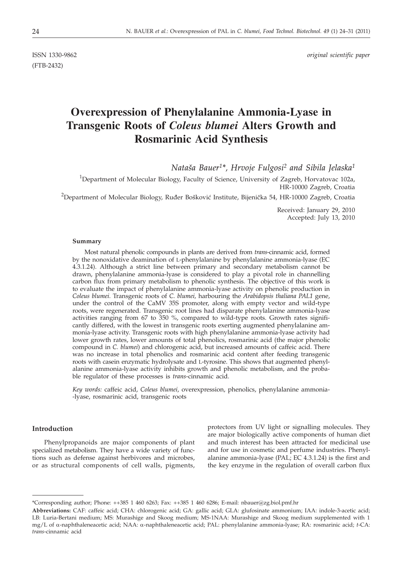(FTB-2432)

ISSN 1330-9862 *original scientific paper*

# **Overexpression of Phenylalanine Ammonia-Lyase in Transgenic Roots of** *Coleus blumei* **Alters Growth and Rosmarinic Acid Synthesis**

*Nata{a Bauer1\*, Hrvoje Fulgosi2 and Sibila Jelaska1*

<sup>1</sup>Department of Molecular Biology, Faculty of Science, University of Zagreb, Horvatovac 102a, HR-10000 Zagreb, Croatia  $^2$ Department of Molecular Biology, Ruđer Bošković Institute, Bijenička 54, HR-10000 Zagreb, Croatia

> Received: January 29, 2010 Accepted: July 13, 2010

#### **Summary**

Most natural phenolic compounds in plants are derived from *trans*-cinnamic acid, formed by the nonoxidative deamination of L-phenylalanine by phenylalanine ammonia-lyase (EC 4.3.1.24). Although a strict line between primary and secondary metabolism cannot be drawn, phenylalanine ammonia-lyase is considered to play a pivotal role in channelling carbon flux from primary metabolism to phenolic synthesis. The objective of this work is to evaluate the impact of phenylalanine ammonia-lyase activity on phenolic production in *Coleus blumei*. Transgenic roots of *C. blumei,* harbouring the *Arabidopsis thaliana PAL1* gene, under the control of the CaMV 35S promoter, along with empty vector and wild-type roots, were regenerated. Transgenic root lines had disparate phenylalanine ammonia-lyase activities ranging from 67 to 350 %, compared to wild-type roots. Growth rates significantly differed, with the lowest in transgenic roots exerting augmented phenylalanine ammonia-lyase activity. Transgenic roots with high phenylalanine ammonia-lyase activity had lower growth rates, lower amounts of total phenolics, rosmarinic acid (the major phenolic compound in *C. blumei*) and chlorogenic acid, but increased amounts of caffeic acid. There was no increase in total phenolics and rosmarinic acid content after feeding transgenic roots with casein enzymatic hydrolysate and L-tyrosine. This shows that augmented phenylalanine ammonia-lyase activity inhibits growth and phenolic metabolism, and the probable regulator of these processes is *trans*-cinnamic acid.

*Key words:* caffeic acid, *Coleus blumei*, overexpression, phenolics, phenylalanine ammonia- -lyase, rosmarinic acid, transgenic roots

# **Introduction**

Phenylpropanoids are major components of plant specialized metabolism. They have a wide variety of functions such as defense against herbivores and microbes, or as structural components of cell walls, pigments, protectors from UV light or signalling molecules. They are major biologically active components of human diet and much interest has been attracted for medicinal use and for use in cosmetic and perfume industries. Phenylalanine ammonia-lyase (PAL; EC 4.3.1.24) is the first and the key enzyme in the regulation of overall carbon flux

<sup>\*</sup>Corresponding author; Phone: ++385 1 460 6263; Fax: ++385 1 460 6286; E-mail: nbauer@zg.biol.pmf.hr

**Abbreviations:** CAF: caffeic acid; CHA: chlorogenic acid; GA: gallic acid; GLA: glufosinate ammonium; IAA: indole-3-acetic acid; LB: Luria-Bertani medium; MS: Murashige and Skoog medium; MS-1NAA: Murashige and Skoog medium supplemented with 1 mg/L of a-naphthaleneacetic acid; NAA: a-naphthaleneacetic acid; PAL: phenylalanine ammonia-lyase; RA: rosmarinic acid; *<sup>t</sup>*-CA: *trans*-cinnamic acid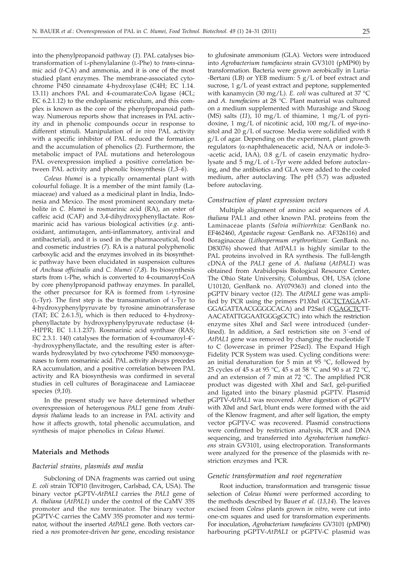into the phenylpropanoid pathway (*1*). PAL catalyses biotransformation of L-phenylalanine (L-Phe) to *trans*-cinnamic acid (*t*-CA) and ammonia, and it is one of the most studied plant enzymes. The membrane-associated cytochrome P450 cinnamate 4-hydroxylase (C4H; EC 1.14. 13.11) anchors PAL and 4-coumarate:CoA ligase (4CL; EC 6.2.1.12) to the endoplasmic reticulum, and this complex is known as the core of the phenylpropanoid pathway. Numerous reports show that increases in PAL activity and in phenolic compounds occur in response to different stimuli. Manipulation of *in vivo* PAL activity with a specific inhibitor of PAL reduced the formation and the accumulation of phenolics (*2*). Furthermore, the metabolic impact of PAL mutations and heterologous PAL overexpression implied a positive correlation between PAL activity and phenolic biosynthesis (*1,3–6*).

*Coleus blumei* is a typically ornamental plant with colourful foliage. It is a member of the mint family (Lamiaceae) and valued as a medicinal plant in India, Indonesia and Mexico. The most prominent secondary metabolite in *C. blumei* is rosmarinic acid (RA), an ester of caffeic acid (CAF) and 3,4-dihydroxyphenyllactate. Rosmarinic acid has various biological activities (*e.g*. antioxidant, antimutagen, anti-inflammatory, antiviral and antibacterial), and it is used in the pharmaceutical, food and cosmetic industries (*7*). RA is a natural polyphenolic carboxylic acid and the enzymes involved in its biosynthetic pathway have been elucidated in suspension cultures of *Anchusa officinalis* and *C. blumei* (*7,8*). Its biosynthesis starts from L-Phe, which is converted to 4-coumaroyl-CoA by core phenylpropanoid pathway enzymes. In parallel, the other precursor for RA is formed from L-tyrosine (L-Tyr). The first step is the transamination of L-Tyr to 4-hydroxyphenylpyruvate by tyrosine aminotransferase (TAT; EC 2.6.1.5), which is then reduced to 4-hydroxyphenyllactate by hydroxyphenylpyruvate reductase (4- -HPPR; EC 1.1.1.237). Rosmarinic acid synthase (RAS; EC 2.3.1. 140) catalyses the formation of 4-coumaroyl-4'- -hydroxyphenyllactate, and the resulting ester is afterwards hydroxylated by two cytochrome P450 monooxygenases to form rosmarinic acid. PAL activity always precedes RA accumulation, and a positive correlation between PAL activity and RA biosynthesis was confirmed in several studies in cell cultures of Boraginaceae and Lamiaceae species (*9,10*).

In the present study we have determined whether overexpression of heterogenous *PAL1* gene from *Arabidopsis thaliana* leads to an increase in PAL activity and how it affects growth, total phenolic accumulation, and synthesis of major phenolics in *Coleus blumei*.

## **Materials and Methods**

#### *Bacterial strains, plasmids and media*

Subcloning of DNA fragments was carried out using *E. coli* strain TOP10 (Invitrogen, Carlsbad, CA, USA). The binary vector pGPTV-*AtPAL1* carries the *PAL1* gene of *A. thaliana* (*AtPAL1*) under the control of the CaMV 35S promoter and the *nos* terminator. The binary vector pGPTV-C carries the CaMV 35S promoter and *nos* terminator, without the inserted *AtPAL1* gene. Both vectors carried a *nos* promoter-driven *bar* gene, encoding resistance

to glufosinate ammonium (GLA). Vectors were introduced into *Agrobacterium tumefaciens* strain GV3101 (pMP90) by transformation. Bacteria were grown aerobically in Luria- -Bertani (LB) or YEB medium:  $5 g/L$  of beef extract and sucrose, 1 g/L of yeast extract and peptone, supplemented with kanamycin (30 mg/L). *E. coli* was cultured at 37 °C and *A. tumefaciens* at 28 °C. Plant material was cultured on a medium supplemented with Murashige and Skoog (MS) salts (*11*), 10 mg/L of thiamine, 1 mg/L of pyridoxine, 1 mg/L of nicotinic acid, 100 mg/L of *myo*-inositol and 20 g/L of sucrose. Media were solidified with 8 g/L of agar. Depending on the experiment, plant growth regulators (a-naphthaleneacetic acid, NAA or indole-3- -acetic acid, IAA), 0.8 g/L of casein enzymatic hydrolysate and 5 mg/L of L-Tyr were added before autoclaving, and the antibiotics and GLA were added to the cooled medium, after autoclaving. The pH (5.7) was adjusted before autoclaving.

#### *Construction of plant expression vectors*

Multiple alignment of amino acid sequences of *A. thaliana* PAL1 and other known PAL proteins from the Laminaceae plants (*Salvia miltiorrhiza*: GenBank no. EF462460, *Agastache rugosa*: GenBank no. AF326116) and Boraginaceae (*Lithospermum erythrorhizon*: GenBank no. D83076) showed that AtPAL1 is highly similar to the PAL proteins involved in RA synthesis. The full-length cDNA of the *PAL1* gene of *A. thaliana* (*AtPAL1*) was obtained from Arabidopsis Biological Resource Center, The Ohio State University, Columbus, OH, USA (clone U10120, GenBank no. AY079363) and cloned into the pGPTV binary vector (*12*). The *AtPAL1* gene was amplified by PCR using the primers P1*Xba*I (GCTCTAGAAT-GGAGATTAACGGGGCACA) and P2*Sac*I (CGAGCTCTT-AACATATTGGAATGGGgGCTC) into which the restriction enzyme sites *Xba*I and *Sac*I were introduced (underlined). In addition, a *Sac*I restriction site on 3´-end of *AtPAL1* gene was removed by changing the nucleotide T to C (lowercase in primer P2*Sac*I). The Expand High Fidelity PCR System was used. Cycling conditions were: an initial denaturation for 5 min at  $95^{\circ}$ C, followed by 25 cycles of 45 s at 95 °C, 45 s at 58 °C and 90 s at 72 °C, and an extension of 7 min at 72 °C. The amplified PCR product was digested with *Xba*I and *Sac*I, gel-purified and ligated into the binary plasmid pGPTV. Plasmid pGPTV-*AtPAL1* was recovered. After digestion of pGPTV with *Xba*I and *Sac*I, blunt ends were formed with the aid of the Klenow fragment, and after self ligation, the empty vector pGPTV-C was recovered. Plasmid constructions were confirmed by restriction analysis, PCR and DNA sequencing, and transferred into *Agrobacterium tumefaciens* strain GV3101, using electroporation. Transformants were analyzed for the presence of the plasmids with restriction enzymes and PCR.

#### *Genetic transformation and root regeneration*

Root induction, transformation and transgenic tissue selection of *Coleus blumei* were performed according to the methods described by Bauer *et al.* (*13,14*). The leaves excised from *Coleus* plants grown *in vitro*, were cut into one-cm squares and used for transformation experiments. For inoculation, *Agrobacterium tumefaciens* GV3101 (pMP90) harbouring pGPTV-*AtPAL1* or pGPTV-C plasmid was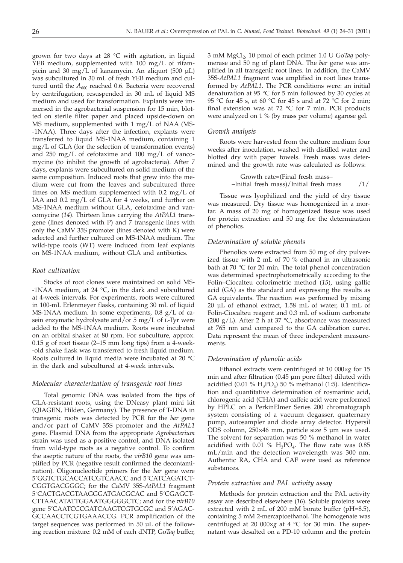grown for two days at 28 °C with agitation, in liquid YEB medium, supplemented with 100 mg/L of rifampicin and 30 mg/L of kanamycin. An aliquot (500 µL) was subcultured in 30 mL of fresh YEB medium and cultured until the  $A_{600}$  reached 0.6. Bacteria were recovered by centrifugation, resuspended in 30 mL of liquid MS medium and used for transformation. Explants were immersed in the agrobacterial suspension for 15 min, blotted on sterile filter paper and placed upside-down on MS medium, supplemented with 1 mg/L of NAA (MS- -1NAA). Three days after the infection, explants were transferred to liquid MS-1NAA medium, containing 1 mg/L of GLA (for the selection of transformation events) and 250 mg/L of cefotaxime and 100 mg/L of vancomycine (to inhibit the growth of agrobacteria). After 7 days, explants were subcultured on solid medium of the same composition. Induced roots that grew into the medium were cut from the leaves and subcultured three times on MS medium supplemented with 0.2 mg/L of IAA and 0.2 mg/L of GLA for 4 weeks, and further on MS-1NAA medium without GLA, cefotaxime and vancomycine (*14*). Thirteen lines carrying the *AtPAL1* transgene (lines denoted with P) and 7 transgenic lines with only the CaMV 35S promoter (lines denoted with K) were selected and further cultured on MS-1NAA medium. The wild-type roots (WT) were induced from leaf explants on MS-1NAA medium, without GLA and antibiotics.

## *Root cultivation*

Stocks of root clones were maintained on solid MS- -1NAA medium, at 24  $\degree$ C, in the dark and subcultured at 4-week intervals. For experiments, roots were cultured in 100-mL Erlenmeyer flasks, containing 30 mL of liquid MS-1NAA medium. In some experiments, 0.8 g/L of casein enzymatic hydrolysate and/or 5 mg/L of L-Tyr were added to the MS-1NAA medium. Roots were incubated on an orbital shaker at 80 rpm. For subculture, approx. 0.15 g of root tissue (2–15 mm long tips) from a 4-week- -old shake flask was transferred to fresh liquid medium. Roots cultured in liquid media were incubated at 20 °C in the dark and subcultured at 4-week intervals.

#### *Molecular characterization of transgenic root lines*

Total genomic DNA was isolated from the tips of GLA-resistant roots, using the DNeasy plant mini kit (QIAGEN, Hilden, Germany). The presence of T-DNA in transgenic roots was detected by PCR for the *bar* gene and/or part of CaMV 35S promoter and the *AtPAL1* gene. Plasmid DNA from the appropriate *Agrobacterium* strain was used as a positive control, and DNA isolated from wild-type roots as a negative control. To confirm the aseptic nature of the roots, the *virB10* gene was amplified by PCR (negative result confirmed the decontamination). Oligonucleotide primers for the *bar* gene were 5´GGTCTGCACCATCGTCAACC and 5´CATCAGATCT-CGGTGACGGGC; for the CaMV 35S-*AtPAL1* fragment 5´CACTGACGTAAGGGATGACGCAC and 5´CGAGCT-CTTAACATATTGGAATGGGGGCTC; and for the *virB10* gene 5'CAATCCCGATCAAGTCGTGCGC and 5'AGAC-GCCAACCTCGTGAAACCG. PCR amplification of the target sequences was performed in 50 µL of the following reaction mixture: 0.2 mM of each dNTP, Go*Taq* buffer, 3 mM MgCl2, 10 pmol of each primer 1.0 U Go*Taq* polymerase and 50 ng of plant DNA. The *bar* gene was amplified in all transgenic root lines. In addition, the CaMV 35S-*AtPAL1* fragment was amplified in root lines transformed by *AtPAL1*. The PCR conditions were: an initial denaturation at 95 °C for 5 min followed by 30 cycles at 95 °C for 45 s, at 60 °C for 45 s and at 72 °C for 2 min; final extension was at 72 °C for 7 min. PCR products were analyzed on 1 % (by mass per volume) agarose gel.

## *Growth analysis*

Roots were harvested from the culture medium four weeks after inoculation, washed with distilled water and blotted dry with paper towels. Fresh mass was determined and the growth rate was calculated as follows:

Growth rate=(Final fresh mass– –Initial fresh mass)/Initial fresh mass /1/

Tissue was lyophilized and the yield of dry tissue was measured. Dry tissue was homogenized in a mortar. A mass of 20 mg of homogenized tissue was used for protein extraction and 50 mg for the determination of phenolics.

#### *Determination of soluble phenols*

Phenolics were extracted from 50 mg of dry pulverized tissue with 2 mL of 70 % ethanol in an ultrasonic bath at 70 °C for 20 min. The total phenol concentration was determined spectrophotometrically according to the Folin–Ciocalteu colorimetric method (*15*), using gallic acid (GA) as the standard and expressing the results as GA equivalents. The reaction was performed by mixing 20 µL of ethanol extract, 1.58 mL of water, 0.1 mL of Folin-Ciocalteu reagent and 0.3 mL of sodium carbonate (200 g/L). After 2 h at 37  $\degree$ C, absorbance was measured at 765 nm and compared to the GA calibration curve. Data represent the mean of three independent measurements.

# *Determination of phenolic acids*

Ethanol extracts were centrifuged at 10 000×*g* for 15 min and after filtration (0.45 µm pore filter) diluted with acidified  $(0.01 \% H_3PO_4)$  50 % methanol (1:5). Identification and quantitative determination of rosmarinic acid, chlorogenic acid (CHA) and caffeic acid were performed by HPLC on a PerkinElmer Series 200 chromatograph system consisting of a vacuum degasser, quaternary pump, autosampler and diode array detector. Hypersil ODS column, 250×46 mm, particle size 5 µm was used. The solvent for separation was 50 % methanol in water acidified with  $0.01\%$  H<sub>3</sub>PO<sub>4</sub>. The flow rate was 0.85 mL/min and the detection wavelength was 300 nm. Authentic RA, CHA and CAF were used as reference substances.

### *Protein extraction and PAL activity assay*

Methods for protein extraction and the PAL activity assay are described elsewhere (*16*). Soluble proteins were extracted with 2 mL of 200 mM borate buffer (pH=8.5), containing 5 mM 2-mercaptoethanol. The homogenate was centrifuged at 20 000×*g* at 4 °C for 30 min. The supernatant was desalted on a PD-10 column and the protein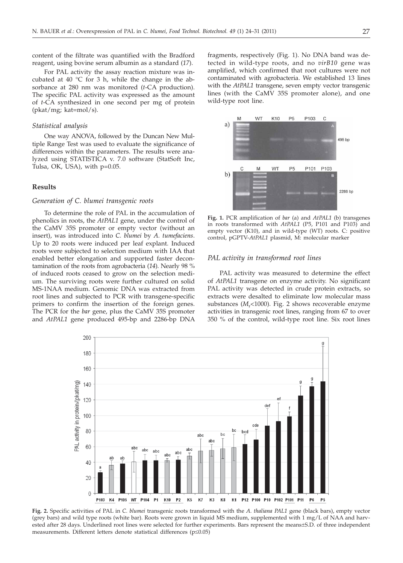content of the filtrate was quantified with the Bradford reagent, using bovine serum albumin as a standard (*17*).

For PAL activity the assay reaction mixture was incubated at 40  $\degree$ C for 3 h, while the change in the absorbance at 280 nm was monitored (*t*-CA production). The specific PAL activity was expressed as the amount of *t*-CA synthesized in one second per mg of protein (pkat/mg; kat=mol/s).

#### *Statistical analysis*

One way ANOVA, followed by the Duncan New Multiple Range Test was used to evaluate the significance of differences within the parameters. The results were analyzed using STATISTICA v. 7.0 software (StatSoft Inc, Tulsa, OK, USA), with p=0.05.

# **Results**

# *Generation of C. blumei transgenic roots*

To determine the role of PAL in the accumulation of phenolics in roots, the *AtPAL1* gene, under the control of the CaMV 35S promoter or empty vector (without an insert), was introduced into *C. blumei* by *A. tumefaciens*. Up to 20 roots were induced per leaf explant. Induced roots were subjected to selection medium with IAA that enabled better elongation and supported faster decontamination of the roots from agrobacteria (*14*). Nearly 98 % of induced roots ceased to grow on the selection medium. The surviving roots were further cultured on solid MS-1NAA medium. Genomic DNA was extracted from root lines and subjected to PCR with transgene-specific primers to confirm the insertion of the foreign genes. The PCR for the *bar* gene, plus the CaMV 35S promoter and *AtPAL1* gene produced 495-bp and 2286-bp DNA

fragments, respectively (Fig. 1). No DNA band was detected in wild-type roots, and no *virB10* gene was amplified, which confirmed that root cultures were not contaminated with agrobacteria. We established 13 lines with the *AtPAL1* transgene, seven empty vector transgenic lines (with the CaMV 35S promoter alone), and one wild-type root line.



**Fig. 1.** PCR amplification of *bar* (a) and *AtPAL1* (b) transgenes in roots transformed with *AtPAL1* (P5, P101 and P103) and empty vector (K10), and in wild-type (WT) roots. C: positive control, pGPTV-*AtPAL1* plasmid, M: molecular marker

## *PAL activity in transformed root lines*

PAL activity was measured to determine the effect of *AtPAL1* transgene on enzyme activity. No significant PAL activity was detected in crude protein extracts, so extracts were desalted to eliminate low molecular mass substances (*M<sub>r</sub>*<1000). Fig. 2 shows recoverable enzyme activities in transgenic root lines, ranging from 67 to over 350 % of the control, wild-type root line. Six root lines



**Fig. 2.** Specific activities of PAL in *C. blumei* transgenic roots transformed with the *A. thaliana PAL1* gene (black bars), empty vector (grey bars) and wild type roots (white bar). Roots were grown in liquid MS medium, supplemented with 1 mg/L of NAA and harvested after 28 days. Underlined root lines were selected for further experiments. Bars represent the means±S.D. of three independent measurements. Different letters denote statistical differences  $(p \le 0.05)$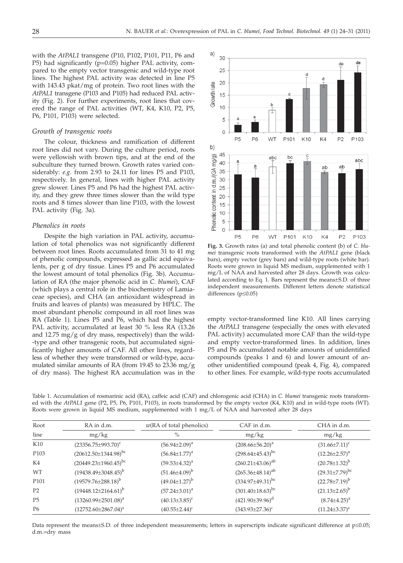with the *AtPAL1* transgene (P10, P102, P101, P11, P6 and P5) had significantly (p=0.05) higher PAL activity, compared to the empty vector transgenic and wild-type root lines. The highest PAL activity was detected in line P5 with 143.43 pkat/mg of protein. Two root lines with the *AtPAL1* transgene (P103 and P105) had reduced PAL activity (Fig. 2). For further experiments, root lines that covered the range of PAL activities (WT, K4, K10, P2, P5, P6, P101, P103) were selected.

# *Growth of transgenic roots*

The colour, thickness and ramification of different root lines did not vary. During the culture period, roots were yellowish with brown tips, and at the end of the subculture they turned brown. Growth rates varied considerably: *e.g.* from 2.93 to 24.11 for lines P5 and P103, respectively. In general, lines with higher PAL activity grew slower. Lines P5 and P6 had the highest PAL activity, and they grew three times slower than the wild type roots and 8 times slower than line P103, with the lowest PAL activity (Fig. 3a).

#### *Phenolics in roots*

Despite the high variation in PAL activity, accumulation of total phenolics was not significantly different between root lines. Roots accumulated from 31 to 41 mg of phenolic compounds, expressed as gallic acid equivalents, per g of dry tissue. Lines P5 and P6 accumulated the lowest amount of total phenolics (Fig. 3b). Accumulation of RA (the major phenolic acid in *C. blumei*), CAF (which plays a central role in the biochemistry of Lamiaceae species), and CHA (an antioxidant widespread in fruits and leaves of plants) was measured by HPLC. The most abundant phenolic compound in all root lines was RA (Table 1). Lines P5 and P6, which had the highest PAL activity, accumulated at least 30 % less RA (13.26 and  $12.75 \text{ mg/g}$  of dry mass, respectively) than the wild--type and other transgenic roots, but accumulated significantly higher amounts of CAF. All other lines, regardless of whether they were transformed or wild-type, accumulated similar amounts of RA (from 19.45 to 23.36 mg/g of dry mass). The highest RA accumulation was in the



**Fig. 3.** Growth rates (a) and total phenolic content (b) of *C. blumei* transgenic roots transformed with the *AtPAL1* gene (black bars), empty vector (grey bars) and wild-type roots (white bar). Roots were grown in liquid MS medium, supplemented with 1 mg/L of NAA and harvested after 28 days. Growth was calculated according to Eq. 1. Bars represent the means±S.D. of three independent measurements. Different letters denote statistical differences ( $p \le 0.05$ )

empty vector-transformed line K10. All lines carrying the *AtPAL1* transgene (especially the ones with elevated PAL activity) accumulated more CAF than the wild-type and empty vector-transformed lines. In addition, lines P5 and P6 accumulated notable amounts of unidentified compounds (peaks 1 and 6) and lower amount of another unidentified compound (peak 4, Fig. 4), compared to other lines. For example, wild-type roots accumulated

Table 1. Accumulation of rosmarinic acid (RA), caffeic acid (CAF) and chlorogenic acid (CHA) in *C. blumei* transgenic roots transformed with the *AtPAL1* gene (P2, P5, P6, P101, P103), in roots transformed by the empty vector (K4, K10) and in wild-type roots (WT). Roots were grown in liquid MS medium, supplemented with 1 mg/L of NAA and harvested after 28 days

| Root<br>line     | RA in d.m.<br>mg/kg           | $w(RA \text{ of total phenolics})$<br>$\%$ | CAF in d.m.<br>mg/kg      | CHA in d.m.<br>mg/kg    |
|------------------|-------------------------------|--------------------------------------------|---------------------------|-------------------------|
|                  |                               |                                            |                           |                         |
| P <sub>103</sub> | $(20612.50 \pm 1344.98)^{bc}$ | $(56.84 \pm 1.77)^a$                       | $(298.64\pm45.43)^{bc}$   | $(12.26 \pm 2.57)^a$    |
| K4               | $(20449.23 \pm 1960.45)^{bc}$ | $(59.53 \pm 4.32)^a$                       | $(260.21 \pm 43.06)^{ab}$ | $(20.78 \pm 1.32)^{b}$  |
| <b>WT</b>        | $(19438.49\pm3048.45)^{b}$    | $(51.46{\pm}4.09)^{b}$                     | $(265.36 \pm 48.14)^{ab}$ | $(29.31 \pm 7.79)^{bc}$ |
| P <sub>101</sub> | $(19579.76 \pm 288.18)^b$     | $(49.04\pm1.27)^{b}$                       | $(334.97 \pm 49.31)^{bc}$ | $(22.78 \pm 7.19)^{b}$  |
| P <sub>2</sub>   | $(19448.12\pm2164.61)^{b}$    | $(57.24 \pm 3.01)^a$                       | $(301.40\pm18.63)^{bc}$   | $(21.13\pm2.65)^{b}$    |
| P <sub>5</sub>   | $(13260.99\pm2501.08)^a$      | $(40.13\pm3.85)^c$                         | $(421.90\pm39.96)^d$      | $(8.74 \pm 4.25)^a$     |
| P <sub>6</sub>   | $(12752.60 \pm 2867.04)^a$    | $(40.55 \pm 2.44)^c$                       | $(343.93 \pm 27.36)^c$    | $(11.24 \pm 3.37)^a$    |

Data represent the means $\pm$ S.D. of three independent measurements; letters in superscripts indicate significant difference at  $p \le 0.05$ ; d.m.=dry mass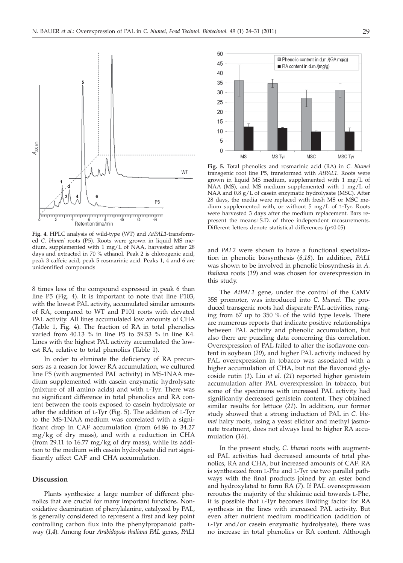

**Fig. 4.** HPLC analysis of wild-type (WT) and *AtPAL1*-transformed *C. blumei* roots (P5). Roots were grown in liquid MS medium, supplemented with 1 mg/L of NAA, harvested after 28 days and extracted in 70 % ethanol. Peak 2 is chlorogenic acid, peak 3 caffeic acid, peak 5 rosmarinic acid. Peaks 1, 4 and 6 are unidentified compounds

8 times less of the compound expressed in peak 6 than line P5 (Fig. 4). It is important to note that line P103, with the lowest PAL activity, accumulated similar amounts of RA, compared to WT and P101 roots with elevated PAL activity. All lines accumulated low amounts of CHA (Table 1, Fig. 4). The fraction of RA in total phenolics varied from 40.13 % in line P5 to 59.53 % in line K4. Lines with the highest PAL activity accumulated the lowest RA, relative to total phenolics (Table 1).

In order to eliminate the deficiency of RA precursors as a reason for lower RA accumulation, we cultured line P5 (with augmented PAL activity) in MS-1NAA medium supplemented with casein enzymatic hydrolysate (mixture of all amino acids) and with L-Tyr. There was no significant difference in total phenolics and RA content between the roots exposed to casein hydrolysate or after the addition of L-Tyr (Fig. 5). The addition of L-Tyr to the MS-1NAA medium was correlated with a significant drop in CAF accumulation (from 64.86 to 34.27 mg/kg of dry mass), and with a reduction in CHA (from 29.11 to 16.77 mg/kg of dry mass), while its addition to the medium with casein hydrolysate did not significantly affect CAF and CHA accumulation.

## **Discussion**

Plants synthesize a large number of different phenolics that are crucial for many important functions. Nonoxidative deamination of phenylalanine, catalyzed by PAL, is generally considered to represent a first and key point controlling carbon flux into the phenylpropanoid pathway (*1,4*). Among four *Arabidopsis thaliana PAL* genes, *PAL1*



**Fig. 5.** Total phenolics and rosmarinic acid (RA) in *C. blumei* transgenic root line P5, transformed with *AtPAL1*. Roots were grown in liquid MS medium, supplemented with 1 mg/L of NAA (MS), and MS medium supplemented with 1 mg/L of NAA and 0.8 g/L of casein enzymatic hydrolysate (MSC). After 28 days, the media were replaced with fresh MS or MSC medium supplemented with, or without 5 mg/L of L-Tyr. Roots were harvested 3 days after the medium replacement. Bars represent the means±S.D. of three independent measurements. Different letters denote statistical differences ( $p \le 0.05$ )

and *PAL2* were shown to have a functional specialization in phenolic biosynthesis (*6,18*). In addition, *PAL1* was shown to be involved in phenolic biosynthesis in *A. thaliana* roots (*19*) and was chosen for overexpression in this study.

The *AtPAL1* gene, under the control of the CaMV 35S promoter, was introduced into *C. blumei*. The produced transgenic roots had disparate PAL activities, ranging from 67 up to 350 % of the wild type levels. There are numerous reports that indicate positive relationships between PAL activity and phenolic accumulation, but also there are puzzling data concerning this correlation. Overexpression of PAL failed to alter the isoflavone content in soybean (*20*), and higher PAL activity induced by PAL overexpression in tobacco was associated with a higher accumulation of CHA, but not the flavonoid glycoside rutin (*1*). Liu *et al.* (*21*) reported higher genistein accumulation after PAL overexpression in tobacco, but some of the specimens with increased PAL activity had significantly decreased genistein content. They obtained similar results for lettuce (*21*). In addition, our former study showed that a strong induction of PAL in *C. blumei* hairy roots, using a yeast elicitor and methyl jasmonate treatment, does not always lead to higher RA accumulation (*16*).

In the present study, *C. blumei* roots with augmented PAL activities had decreased amounts of total phenolics, RA and CHA, but increased amounts of CAF. RA is synthesized from L-Phe and L-Tyr *via* two parallel pathways with the final products joined by an ester bond and hydroxylated to form RA (*7*). If PAL overexpression reroutes the majority of the shikimic acid towards L-Phe, it is possible that L-Tyr becomes limiting factor for RA synthesis in the lines with increased PAL activity. But even after nutrient medium modification (addition of L-Tyr and/or casein enzymatic hydrolysate), there was no increase in total phenolics or RA content. Although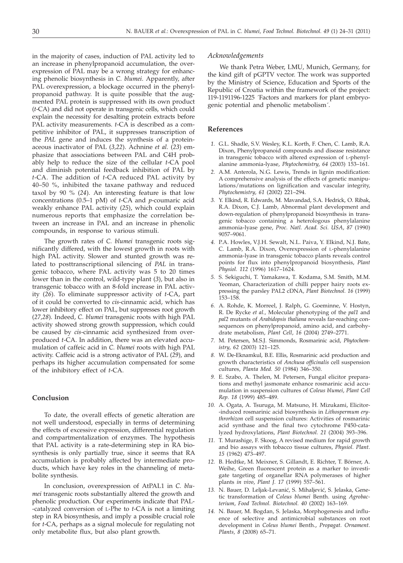in the majority of cases, induction of PAL activity led to an increase in phenylpropanoid accumulation, the overexpression of PAL may be a wrong strategy for enhancing phenolic biosynthesis in *C. blumei*. Apparently, after PAL overexpression, a blockage occurred in the phenylpropanoid pathway. It is quite possible that the augmented PAL protein is suppressed with its own product (*t*-CA) and did not operate in transgenic cells, which could explain the necessity for desalting protein extracts before PAL activity measurements. *t*-CA is described as a competitive inhibitor of PAL, it suppresses transcription of the *PAL* gene and induces the synthesis of a proteinaceous inactivator of PAL (*3,22*). Achnine *et al.* (*23*) emphasize that associations between PAL and C4H probably help to reduce the size of the cellular *t*-CA pool and diminish potential feedback inhibition of PAL by *t*-CA. The addition of *t*-CA reduced PAL activity by 40–50 %, inhibited the taxane pathway and reduced taxol by 90 % (*24*). An interesting feature is that low concentrations (0.5–1 pM) of *t*-CA and *p*-coumaric acid weakly enhance PAL activity (*25*), which could explain numerous reports that emphasize the correlation between an increase in PAL and an increase in phenolic compounds, in response to various stimuli.

The growth rates of *C. blumei* transgenic roots significantly differed, with the lowest growth in roots with high PAL activity. Slower and stunted growth was related to posttranscriptional silencing of *PAL* in transgenic tobacco, where PAL activity was 5 to 20 times lower than in the control, wild-type plant (*3*), but also in transgenic tobacco with an 8-fold increase in PAL activity (*26*). To eliminate suppressor activity of *t*-CA, part of it could be converted to *cis*-cinnamic acid, which has lower inhibitory effect on PAL, but suppresses root growth (*27,28*). Indeed, *C. blumei* transgenic roots with high PAL activity showed strong growth suppression, which could be caused by *cis*-cinnamic acid synthesized from overproduced *t*-CA. In addition, there was an elevated accumulation of caffeic acid in *C. blumei* roots with high PAL activity. Caffeic acid is a strong activator of PAL (*29*), and perhaps its higher accumulation compensated for some of the inhibitory effect of *t*-CA.

## **Conclusion**

To date, the overall effects of genetic alteration are not well understood, especially in terms of determining the effects of excessive expression, differential regulation and compartmentalization of enzymes. The hypothesis that PAL activity is a rate-determining step in RA biosynthesis is only partially true, since it seems that RA accumulation is probably affected by intermediate products, which have key roles in the channeling of metabolite synthesis.

In conclusion, overexpression of AtPAL1 in *C. blumei* transgenic roots substantially altered the growth and phenolic production. Our experiments indicate that PAL- -catalyzed conversion of L-Phe to *t*-CA is not a limiting step in RA biosynthesis, and imply a possible crucial role for *t*-CA, perhaps as a signal molecule for regulating not only metabolite flux, but also plant growth.

#### *Acknowledgements*

We thank Petra Weber, LMU, Munich, Germany, for the kind gift of pGPTV vector. The work was supported by the Ministry of Science, Education and Sports of the Republic of Croatia within the framework of the project: 119-1191196-1225 ´Factors and markers for plant embryogenic potential and phenolic metabolism´.

## **References**

- *1.* G.L. Shadle, S.V. Wesley, K.L. Korth, F. Chen, C. Lamb, R.A. Dixon, Phenylpropanoid compounds and disease resistance in transgenic tobacco with altered expression of L-phenylalanine ammonia-lyase, *Phytochemistry*, *64* (2003) 153–161.
- *2.* A.M. Anterola, N.G. Lewis, Trends in lignin modification: A comprehensive analysis of the effects of genetic manipulations/mutations on lignification and vascular integrity, *Phytochemistry*, *61* (2002) 221–294.
- *3.* Y. Elkind, R. Edwards, M. Mavandad, S.A. Hedrick, O. Ribak, R.A. Dixon, C.J. Lamb, Abnormal plant development and down-regulation of phenylpropanoid biosynthesis in transgenic tobacco containing a heterologous phenylalanine ammonia-lyase gene, *Proc. Natl. Acad. Sci. USA*, *87* (1990) 9057–9061.
- *4.* P.A. Howles, V.J.H. Sewalt, N.L. Paiva, Y. Elkind, N.J. Bate, C. Lamb, R.A. Dixon, Overexpression of L-phenylalanine ammonia-lyase in transgenic tobacco plants reveals control points for flux into phenylpropanoid biosynthesis, *Plant Physiol. 112* (1996) 1617–1624.
- *5.* S. Sekiguchi, T. Yamakawa, T. Kodama, S.M. Smith, M.M. Yeoman, Characterization of chilli pepper hairy roots expressing the parsley PAL2 cDNA, *Plant Biotechnol. 16* (1999) 153–158.
- *6.* A. Rohde, K. Morreel, J. Ralph, G. Goeminne, V. Hostyn, R. De Rycke *et al.,* Molecular phenotyping of the *pal1* and *pal2* mutants of *Arabidopsis thaliana* reveals far-reaching consequences on phenylpropanoid, amino acid, and carbohydrate metabolism, *Plant Cell*, *16* (2004) 2749–2771.
- *7.* M. Petersen, M.S.J. Simmonds, Rosmarinic acid, *Phytochemistry*, *62* (2003) 121–125.
- *8.* W. De-Eknamkul, B.E. Ellis, Rosmarinic acid production and growth characteristics of *Anchusa officinalis* cell suspension cultures, *Planta Med. 50* (1984) 346–350.
- *9.* E. Szabo, A. Thelen, M. Petersen, Fungal elicitor preparations and methyl jasmonate enhance rosmarinic acid accumulation in suspension cultures of *Coleus blumei*, *Plant Cell Rep. 18* (1999) 485–489.
- *10.* A. Ogata, A. Tsuruga, M. Matsuno, H. Mizukami, Elicitor- -induced rosmarinic acid biosynthesis in *Lithospermum erythrorhizon* cell suspension cultures: Activities of rosmarinic acid synthase and the final two cytochrome P450-catalyzed hydroxylations, *Plant Biotechnol. 21* (2004) 393–396.
- *11.* T. Murashige, F. Skoog, A revised medium for rapid growth and bio assays with tobacco tissue cultures, *Physiol. Plant. 15* (1962) 473–497.
- *12.* B. Hedtke, M. Meixner, S. Gillandt, E. Richter, T. Börner, A. Weihe, Green fluorescent protein as a marker to investigate targeting of organellar RNA polymerases of higher plants *in vivo*, *Plant J. 17* (1999) 557–561.
- 13. N. Bauer, D. Leljak-Levanić, S. Mihaljević, S. Jelaska, Genetic transformation of *Coleus blumei* Benth. using *Agrobacterium*, *Food Technol. Biotechnol. 40* (2002) 163–169.
- *14.* N. Bauer, M. Bogdan, S. Jelaska, Morphogenesis and influence of selective and antimicrobial substances on root development in *Coleus blumei* Benth., *Propagat. Ornament. Plants, 8* (2008) 65–71.